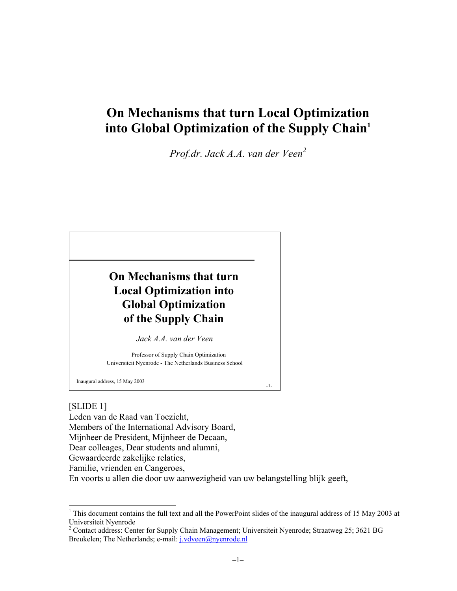# **On Mechanisms that turn Local Optimization into Global Optimization of the Supply Chain1**

*Prof.dr. Jack A.A. van der Veen<sup>2</sup>*



### [SLIDE 1]

-

Leden van de Raad van Toezicht, Members of the International Advisory Board, Mijnheer de President, Mijnheer de Decaan, Dear colleages, Dear students and alumni, Gewaardeerde zakelijke relaties, Familie, vrienden en Cangeroes,

En voorts u allen die door uw aanwezigheid van uw belangstelling blijk geeft,

<sup>&</sup>lt;sup>1</sup> This document contains the full text and all the PowerPoint slides of the inaugural address of 15 May 2003 at Universiteit Nyenrode

<sup>&</sup>lt;sup>2</sup> Contact address: Center for Supply Chain Management; Universiteit Nyenrode; Straatweg 25; 3621 BG Breukelen; The Netherlands; e-mail: j.vdveen@nyenrode.nl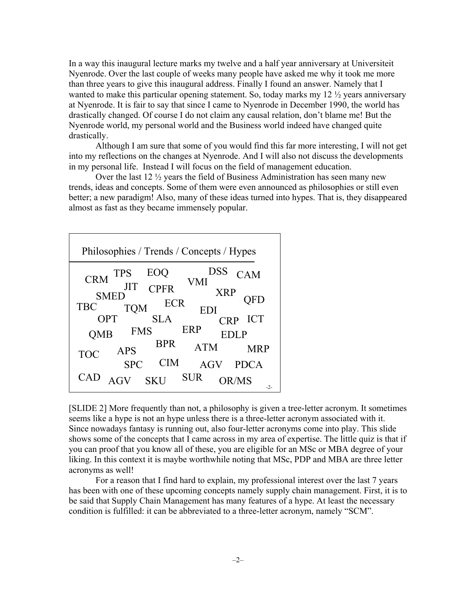In a way this inaugural lecture marks my twelve and a half year anniversary at Universiteit Nyenrode. Over the last couple of weeks many people have asked me why it took me more than three years to give this inaugural address. Finally I found an answer. Namely that I wanted to make this particular opening statement. So, today marks my 12 ½ years anniversary at Nyenrode. It is fair to say that since I came to Nyenrode in December 1990, the world has drastically changed. Of course I do not claim any causal relation, don't blame me! But the Nyenrode world, my personal world and the Business world indeed have changed quite drastically.

Although I am sure that some of you would find this far more interesting, I will not get into my reflections on the changes at Nyenrode. And I will also not discuss the developments in my personal life. Instead I will focus on the field of management education.

Over the last 12 ½ years the field of Business Administration has seen many new trends, ideas and concepts. Some of them were even announced as philosophies or still even better; a new paradigm! Also, many of these ideas turned into hypes. That is, they disappeared almost as fast as they became immensely popular.



[SLIDE 2] More frequently than not, a philosophy is given a tree-letter acronym. It sometimes seems like a hype is not an hype unless there is a three-letter acronym associated with it. Since nowadays fantasy is running out, also four-letter acronyms come into play. This slide shows some of the concepts that I came across in my area of expertise. The little quiz is that if you can proof that you know all of these, you are eligible for an MSc or MBA degree of your liking. In this context it is maybe worthwhile noting that MSc, PDP and MBA are three letter acronyms as well!

For a reason that I find hard to explain, my professional interest over the last 7 years has been with one of these upcoming concepts namely supply chain management. First, it is to be said that Supply Chain Management has many features of a hype. At least the necessary condition is fulfilled: it can be abbreviated to a three-letter acronym, namely "SCM".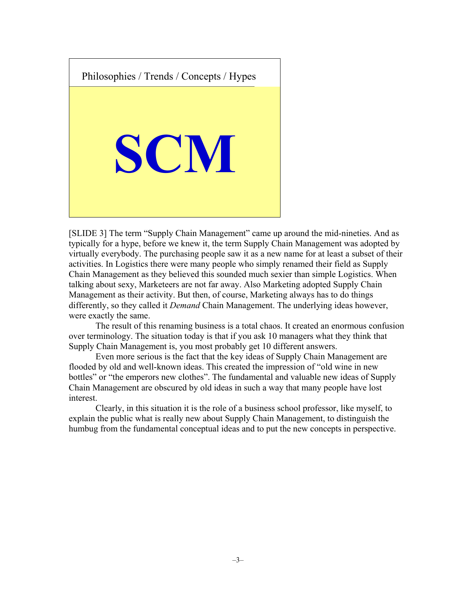

[SLIDE 3] The term "Supply Chain Management" came up around the mid-nineties. And as typically for a hype, before we knew it, the term Supply Chain Management was adopted by virtually everybody. The purchasing people saw it as a new name for at least a subset of their activities. In Logistics there were many people who simply renamed their field as Supply Chain Management as they believed this sounded much sexier than simple Logistics. When talking about sexy, Marketeers are not far away. Also Marketing adopted Supply Chain Management as their activity. But then, of course, Marketing always has to do things differently, so they called it *Demand* Chain Management. The underlying ideas however, were exactly the same.

The result of this renaming business is a total chaos. It created an enormous confusion over terminology. The situation today is that if you ask 10 managers what they think that Supply Chain Management is, you most probably get 10 different answers.

Even more serious is the fact that the key ideas of Supply Chain Management are flooded by old and well-known ideas. This created the impression of "old wine in new bottles" or "the emperors new clothes". The fundamental and valuable new ideas of Supply Chain Management are obscured by old ideas in such a way that many people have lost interest.

Clearly, in this situation it is the role of a business school professor, like myself, to explain the public what is really new about Supply Chain Management, to distinguish the humbug from the fundamental conceptual ideas and to put the new concepts in perspective.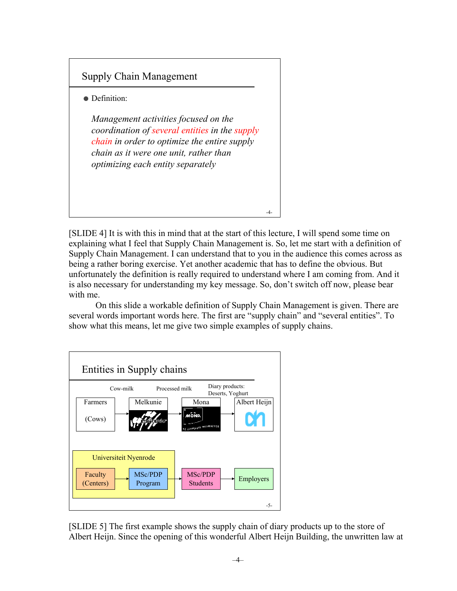

[SLIDE 4] It is with this in mind that at the start of this lecture, I will spend some time on explaining what I feel that Supply Chain Management is. So, let me start with a definition of Supply Chain Management. I can understand that to you in the audience this comes across as being a rather boring exercise. Yet another academic that has to define the obvious. But unfortunately the definition is really required to understand where I am coming from. And it is also necessary for understanding my key message. So, don't switch off now, please bear with me.

On this slide a workable definition of Supply Chain Management is given. There are several words important words here. The first are "supply chain" and "several entities". To show what this means, let me give two simple examples of supply chains.



[SLIDE 5] The first example shows the supply chain of diary products up to the store of Albert Heijn. Since the opening of this wonderful Albert Heijn Building, the unwritten law at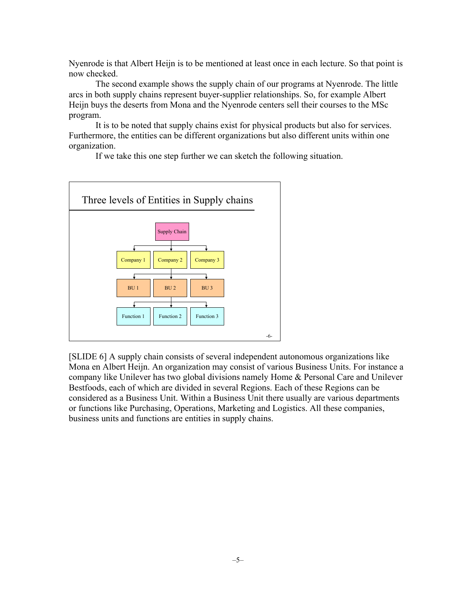Nyenrode is that Albert Heijn is to be mentioned at least once in each lecture. So that point is now checked.

The second example shows the supply chain of our programs at Nyenrode. The little arcs in both supply chains represent buyer-supplier relationships. So, for example Albert Heijn buys the deserts from Mona and the Nyenrode centers sell their courses to the MSc program.

It is to be noted that supply chains exist for physical products but also for services. Furthermore, the entities can be different organizations but also different units within one organization.

If we take this one step further we can sketch the following situation.



[SLIDE 6] A supply chain consists of several independent autonomous organizations like Mona en Albert Heijn. An organization may consist of various Business Units. For instance a company like Unilever has two global divisions namely Home & Personal Care and Unilever Bestfoods, each of which are divided in several Regions. Each of these Regions can be considered as a Business Unit. Within a Business Unit there usually are various departments or functions like Purchasing, Operations, Marketing and Logistics. All these companies, business units and functions are entities in supply chains.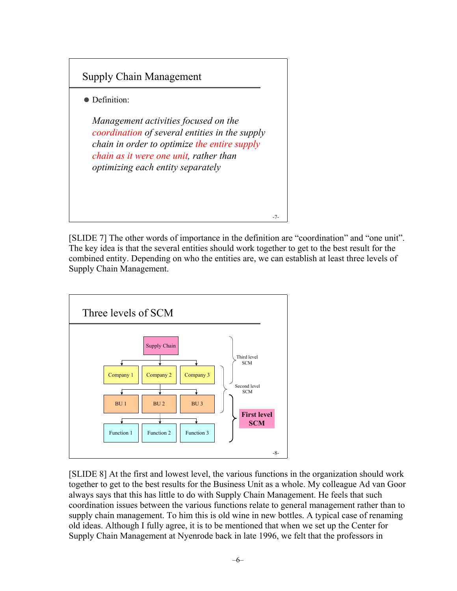

[SLIDE 7] The other words of importance in the definition are "coordination" and "one unit". The key idea is that the several entities should work together to get to the best result for the combined entity. Depending on who the entities are, we can establish at least three levels of Supply Chain Management.



[SLIDE 8] At the first and lowest level, the various functions in the organization should work together to get to the best results for the Business Unit as a whole. My colleague Ad van Goor always says that this has little to do with Supply Chain Management. He feels that such coordination issues between the various functions relate to general management rather than to supply chain management. To him this is old wine in new bottles. A typical case of renaming old ideas. Although I fully agree, it is to be mentioned that when we set up the Center for Supply Chain Management at Nyenrode back in late 1996, we felt that the professors in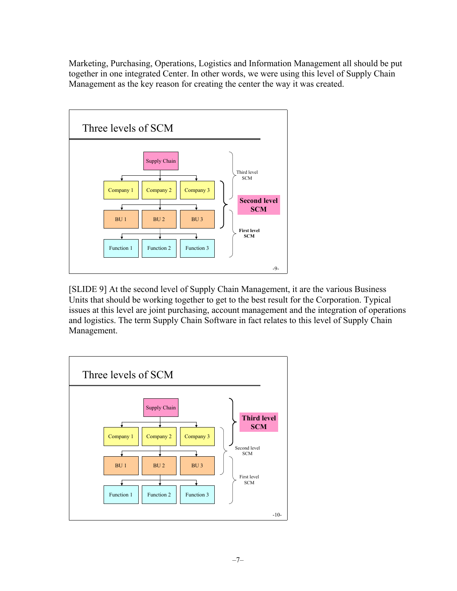Marketing, Purchasing, Operations, Logistics and Information Management all should be put together in one integrated Center. In other words, we were using this level of Supply Chain Management as the key reason for creating the center the way it was created.



[SLIDE 9] At the second level of Supply Chain Management, it are the various Business Units that should be working together to get to the best result for the Corporation. Typical issues at this level are joint purchasing, account management and the integration of operations and logistics. The term Supply Chain Software in fact relates to this level of Supply Chain Management.

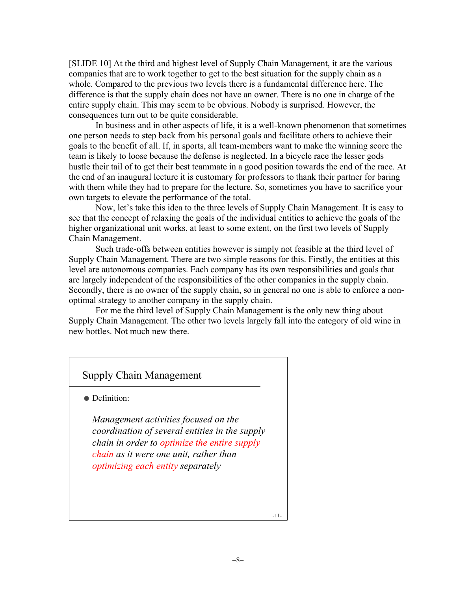[SLIDE 10] At the third and highest level of Supply Chain Management, it are the various companies that are to work together to get to the best situation for the supply chain as a whole. Compared to the previous two levels there is a fundamental difference here. The difference is that the supply chain does not have an owner. There is no one in charge of the entire supply chain. This may seem to be obvious. Nobody is surprised. However, the consequences turn out to be quite considerable.

In business and in other aspects of life, it is a well-known phenomenon that sometimes one person needs to step back from his personal goals and facilitate others to achieve their goals to the benefit of all. If, in sports, all team-members want to make the winning score the team is likely to loose because the defense is neglected. In a bicycle race the lesser gods hustle their tail of to get their best teammate in a good position towards the end of the race. At the end of an inaugural lecture it is customary for professors to thank their partner for baring with them while they had to prepare for the lecture. So, sometimes you have to sacrifice your own targets to elevate the performance of the total.

Now, let's take this idea to the three levels of Supply Chain Management. It is easy to see that the concept of relaxing the goals of the individual entities to achieve the goals of the higher organizational unit works, at least to some extent, on the first two levels of Supply Chain Management.

Such trade-offs between entities however is simply not feasible at the third level of Supply Chain Management. There are two simple reasons for this. Firstly, the entities at this level are autonomous companies. Each company has its own responsibilities and goals that are largely independent of the responsibilities of the other companies in the supply chain. Secondly, there is no owner of the supply chain, so in general no one is able to enforce a nonoptimal strategy to another company in the supply chain.

For me the third level of Supply Chain Management is the only new thing about Supply Chain Management. The other two levels largely fall into the category of old wine in new bottles. Not much new there.

# Supply Chain Management

• Definition:

*Management activities focused on the coordination of several entities in the supply chain in order to optimize the entire supply chain as it were one unit, rather than optimizing each entity separately*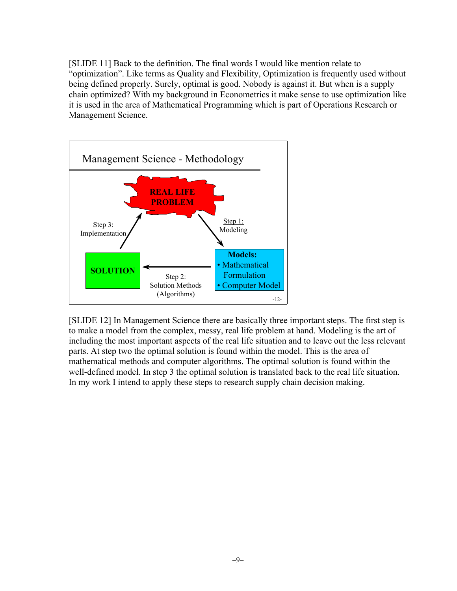[SLIDE 11] Back to the definition. The final words I would like mention relate to "optimization". Like terms as Quality and Flexibility, Optimization is frequently used without being defined properly. Surely, optimal is good. Nobody is against it. But when is a supply chain optimized? With my background in Econometrics it make sense to use optimization like it is used in the area of Mathematical Programming which is part of Operations Research or Management Science.



[SLIDE 12] In Management Science there are basically three important steps. The first step is to make a model from the complex, messy, real life problem at hand. Modeling is the art of including the most important aspects of the real life situation and to leave out the less relevant parts. At step two the optimal solution is found within the model. This is the area of mathematical methods and computer algorithms. The optimal solution is found within the well-defined model. In step 3 the optimal solution is translated back to the real life situation. In my work I intend to apply these steps to research supply chain decision making.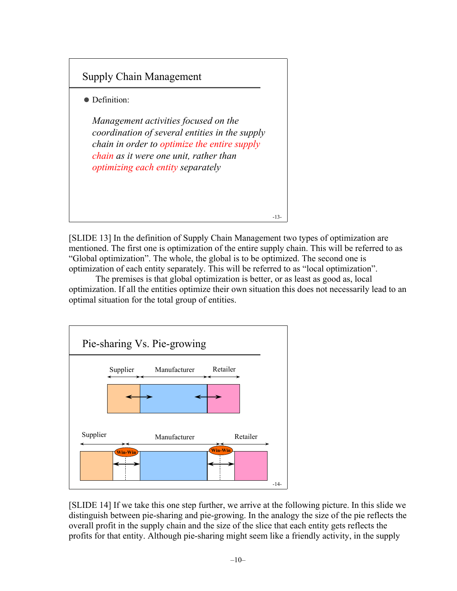

[SLIDE 13] In the definition of Supply Chain Management two types of optimization are mentioned. The first one is optimization of the entire supply chain. This will be referred to as "Global optimization". The whole, the global is to be optimized. The second one is optimization of each entity separately. This will be referred to as "local optimization".

The premises is that global optimization is better, or as least as good as, local optimization. If all the entities optimize their own situation this does not necessarily lead to an optimal situation for the total group of entities.



[SLIDE 14] If we take this one step further, we arrive at the following picture. In this slide we distinguish between pie-sharing and pie-growing. In the analogy the size of the pie reflects the overall profit in the supply chain and the size of the slice that each entity gets reflects the profits for that entity. Although pie-sharing might seem like a friendly activity, in the supply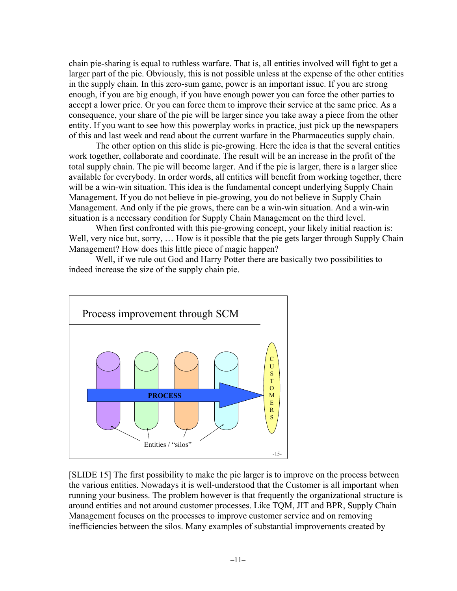chain pie-sharing is equal to ruthless warfare. That is, all entities involved will fight to get a larger part of the pie. Obviously, this is not possible unless at the expense of the other entities in the supply chain. In this zero-sum game, power is an important issue. If you are strong enough, if you are big enough, if you have enough power you can force the other parties to accept a lower price. Or you can force them to improve their service at the same price. As a consequence, your share of the pie will be larger since you take away a piece from the other entity. If you want to see how this powerplay works in practice, just pick up the newspapers of this and last week and read about the current warfare in the Pharmaceutics supply chain.

The other option on this slide is pie-growing. Here the idea is that the several entities work together, collaborate and coordinate. The result will be an increase in the profit of the total supply chain. The pie will become larger. And if the pie is larger, there is a larger slice available for everybody. In order words, all entities will benefit from working together, there will be a win-win situation. This idea is the fundamental concept underlying Supply Chain Management. If you do not believe in pie-growing, you do not believe in Supply Chain Management. And only if the pie grows, there can be a win-win situation. And a win-win situation is a necessary condition for Supply Chain Management on the third level.

When first confronted with this pie-growing concept, your likely initial reaction is: Well, very nice but, sorry, ... How is it possible that the pie gets larger through Supply Chain Management? How does this little piece of magic happen?

Well, if we rule out God and Harry Potter there are basically two possibilities to indeed increase the size of the supply chain pie.



[SLIDE 15] The first possibility to make the pie larger is to improve on the process between the various entities. Nowadays it is well-understood that the Customer is all important when running your business. The problem however is that frequently the organizational structure is around entities and not around customer processes. Like TQM, JIT and BPR, Supply Chain Management focuses on the processes to improve customer service and on removing inefficiencies between the silos. Many examples of substantial improvements created by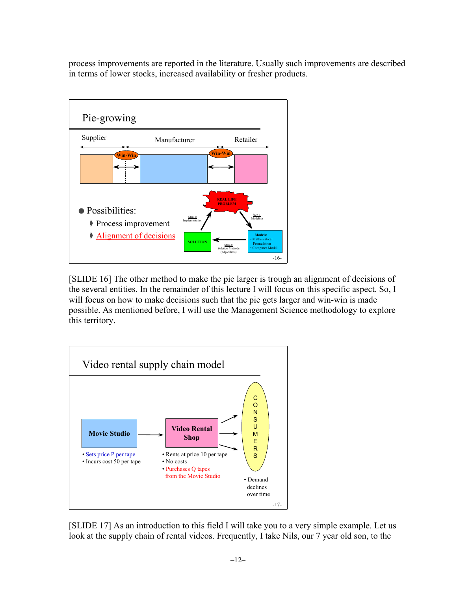process improvements are reported in the literature. Usually such improvements are described in terms of lower stocks, increased availability or fresher products.



[SLIDE 16] The other method to make the pie larger is trough an alignment of decisions of the several entities. In the remainder of this lecture I will focus on this specific aspect. So, I will focus on how to make decisions such that the pie gets larger and win-win is made possible. As mentioned before, I will use the Management Science methodology to explore this territory.



[SLIDE 17] As an introduction to this field I will take you to a very simple example. Let us look at the supply chain of rental videos. Frequently, I take Nils, our 7 year old son, to the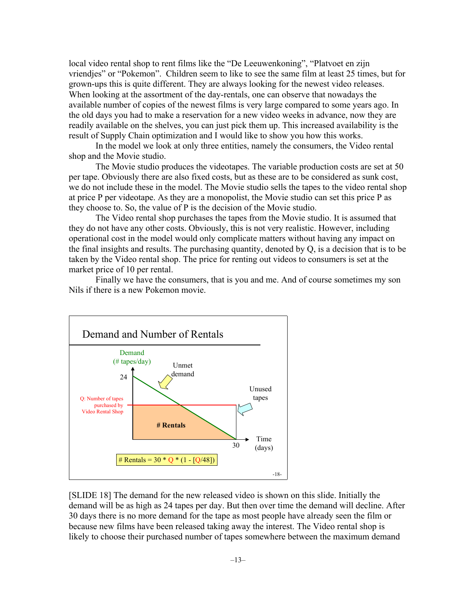local video rental shop to rent films like the "De Leeuwenkoning", "Platvoet en zijn vriendjes" or "Pokemon". Children seem to like to see the same film at least 25 times, but for grown-ups this is quite different. They are always looking for the newest video releases. When looking at the assortment of the day-rentals, one can observe that nowadays the available number of copies of the newest films is very large compared to some years ago. In the old days you had to make a reservation for a new video weeks in advance, now they are readily available on the shelves, you can just pick them up. This increased availability is the result of Supply Chain optimization and I would like to show you how this works.

In the model we look at only three entities, namely the consumers, the Video rental shop and the Movie studio.

The Movie studio produces the videotapes. The variable production costs are set at 50 per tape. Obviously there are also fixed costs, but as these are to be considered as sunk cost, we do not include these in the model. The Movie studio sells the tapes to the video rental shop at price P per videotape. As they are a monopolist, the Movie studio can set this price P as they choose to. So, the value of P is the decision of the Movie studio.

The Video rental shop purchases the tapes from the Movie studio. It is assumed that they do not have any other costs. Obviously, this is not very realistic. However, including operational cost in the model would only complicate matters without having any impact on the final insights and results. The purchasing quantity, denoted by Q, is a decision that is to be taken by the Video rental shop. The price for renting out videos to consumers is set at the market price of 10 per rental.

Finally we have the consumers, that is you and me. And of course sometimes my son Nils if there is a new Pokemon movie.



[SLIDE 18] The demand for the new released video is shown on this slide. Initially the demand will be as high as 24 tapes per day. But then over time the demand will decline. After 30 days there is no more demand for the tape as most people have already seen the film or because new films have been released taking away the interest. The Video rental shop is likely to choose their purchased number of tapes somewhere between the maximum demand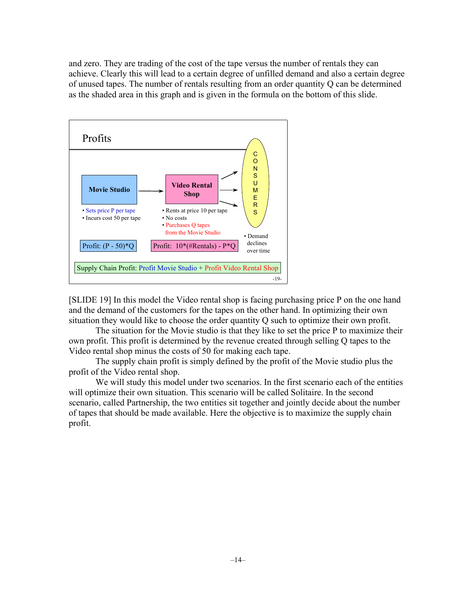and zero. They are trading of the cost of the tape versus the number of rentals they can achieve. Clearly this will lead to a certain degree of unfilled demand and also a certain degree of unused tapes. The number of rentals resulting from an order quantity Q can be determined as the shaded area in this graph and is given in the formula on the bottom of this slide.



[SLIDE 19] In this model the Video rental shop is facing purchasing price P on the one hand and the demand of the customers for the tapes on the other hand. In optimizing their own situation they would like to choose the order quantity Q such to optimize their own profit.

The situation for the Movie studio is that they like to set the price P to maximize their own profit. This profit is determined by the revenue created through selling Q tapes to the Video rental shop minus the costs of 50 for making each tape.

The supply chain profit is simply defined by the profit of the Movie studio plus the profit of the Video rental shop.

We will study this model under two scenarios. In the first scenario each of the entities will optimize their own situation. This scenario will be called Solitaire. In the second scenario, called Partnership, the two entities sit together and jointly decide about the number of tapes that should be made available. Here the objective is to maximize the supply chain profit.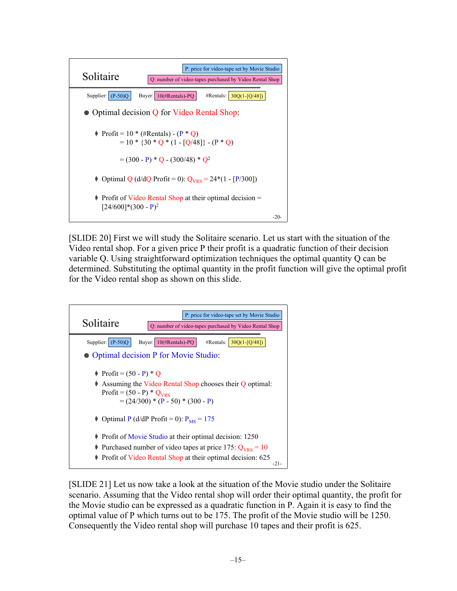

[SLIDE 20] First we will study the Solitaire scenario. Let us start with the situation of the Video rental shop. For a given price P their profit is a quadratic function of their decision variable Q. Using straightforward optimization techniques the optimal quantity Q can be determined. Substituting the optimal quantity in the profit function will give the optimal profit for the Video rental shop as shown on this slide.



[SLIDE 21] Let us now take a look at the situation of the Movie studio under the Solitaire scenario. Assuming that the Video rental shop will order their optimal quantity, the profit for the Movie studio can be expressed as a quadratic function in P. Again it is easy to find the optimal value of P which turns out to be 175. The profit of the Movie studio will be 1250. Consequently the Video rental shop will purchase 10 tapes and their profit is 625.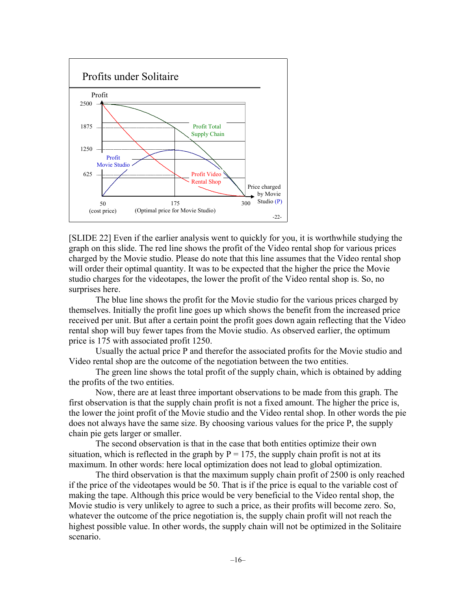

[SLIDE 22] Even if the earlier analysis went to quickly for you, it is worthwhile studying the graph on this slide. The red line shows the profit of the Video rental shop for various prices charged by the Movie studio. Please do note that this line assumes that the Video rental shop will order their optimal quantity. It was to be expected that the higher the price the Movie studio charges for the videotapes, the lower the profit of the Video rental shop is. So, no surprises here.

The blue line shows the profit for the Movie studio for the various prices charged by themselves. Initially the profit line goes up which shows the benefit from the increased price received per unit. But after a certain point the profit goes down again reflecting that the Video rental shop will buy fewer tapes from the Movie studio. As observed earlier, the optimum price is 175 with associated profit 1250.

Usually the actual price P and therefor the associated profits for the Movie studio and Video rental shop are the outcome of the negotiation between the two entities.

The green line shows the total profit of the supply chain, which is obtained by adding the profits of the two entities.

Now, there are at least three important observations to be made from this graph. The first observation is that the supply chain profit is not a fixed amount. The higher the price is, the lower the joint profit of the Movie studio and the Video rental shop. In other words the pie does not always have the same size. By choosing various values for the price P, the supply chain pie gets larger or smaller.

The second observation is that in the case that both entities optimize their own situation, which is reflected in the graph by  $P = 175$ , the supply chain profit is not at its maximum. In other words: here local optimization does not lead to global optimization.

The third observation is that the maximum supply chain profit of 2500 is only reached if the price of the videotapes would be 50. That is if the price is equal to the variable cost of making the tape. Although this price would be very beneficial to the Video rental shop, the Movie studio is very unlikely to agree to such a price, as their profits will become zero. So, whatever the outcome of the price negotiation is, the supply chain profit will not reach the highest possible value. In other words, the supply chain will not be optimized in the Solitaire scenario.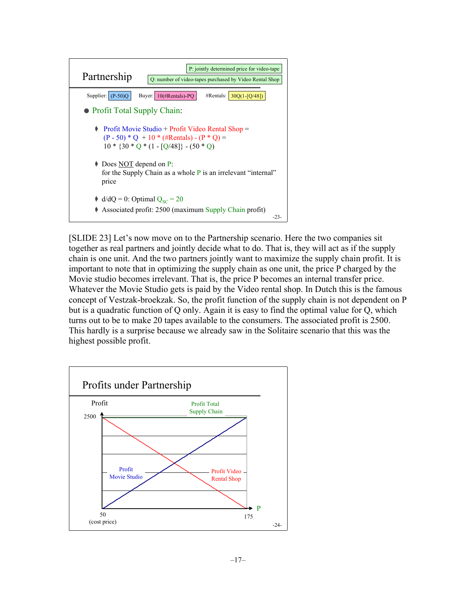

[SLIDE 23] Let's now move on to the Partnership scenario. Here the two companies sit together as real partners and jointly decide what to do. That is, they will act as if the supply chain is one unit. And the two partners jointly want to maximize the supply chain profit. It is important to note that in optimizing the supply chain as one unit, the price P charged by the Movie studio becomes irrelevant. That is, the price P becomes an internal transfer price. Whatever the Movie Studio gets is paid by the Video rental shop. In Dutch this is the famous concept of Vestzak-broekzak. So, the profit function of the supply chain is not dependent on P but is a quadratic function of Q only. Again it is easy to find the optimal value for Q, which turns out to be to make 20 tapes available to the consumers. The associated profit is 2500. This hardly is a surprise because we already saw in the Solitaire scenario that this was the highest possible profit.

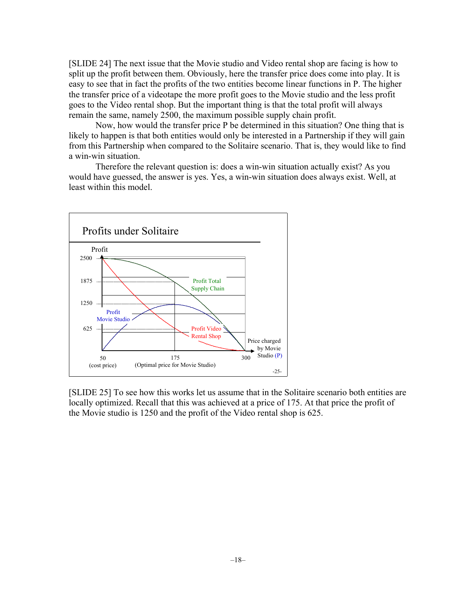[SLIDE 24] The next issue that the Movie studio and Video rental shop are facing is how to split up the profit between them. Obviously, here the transfer price does come into play. It is easy to see that in fact the profits of the two entities become linear functions in P. The higher the transfer price of a videotape the more profit goes to the Movie studio and the less profit goes to the Video rental shop. But the important thing is that the total profit will always remain the same, namely 2500, the maximum possible supply chain profit.

Now, how would the transfer price P be determined in this situation? One thing that is likely to happen is that both entities would only be interested in a Partnership if they will gain from this Partnership when compared to the Solitaire scenario. That is, they would like to find a win-win situation.

Therefore the relevant question is: does a win-win situation actually exist? As you would have guessed, the answer is yes. Yes, a win-win situation does always exist. Well, at least within this model.



[SLIDE 25] To see how this works let us assume that in the Solitaire scenario both entities are locally optimized. Recall that this was achieved at a price of 175. At that price the profit of the Movie studio is 1250 and the profit of the Video rental shop is 625.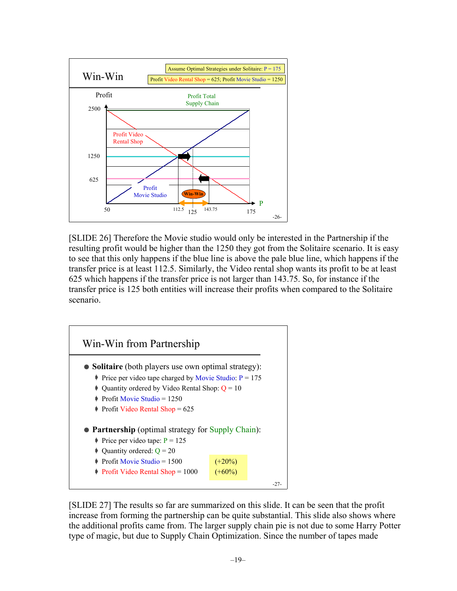

[SLIDE 26] Therefore the Movie studio would only be interested in the Partnership if the resulting profit would be higher than the 1250 they got from the Solitaire scenario. It is easy to see that this only happens if the blue line is above the pale blue line, which happens if the transfer price is at least 112.5. Similarly, the Video rental shop wants its profit to be at least 625 which happens if the transfer price is not larger than 143.75. So, for instance if the transfer price is 125 both entities will increase their profits when compared to the Solitaire scenario.



[SLIDE 27] The results so far are summarized on this slide. It can be seen that the profit increase from forming the partnership can be quite substantial. This slide also shows where the additional profits came from. The larger supply chain pie is not due to some Harry Potter type of magic, but due to Supply Chain Optimization. Since the number of tapes made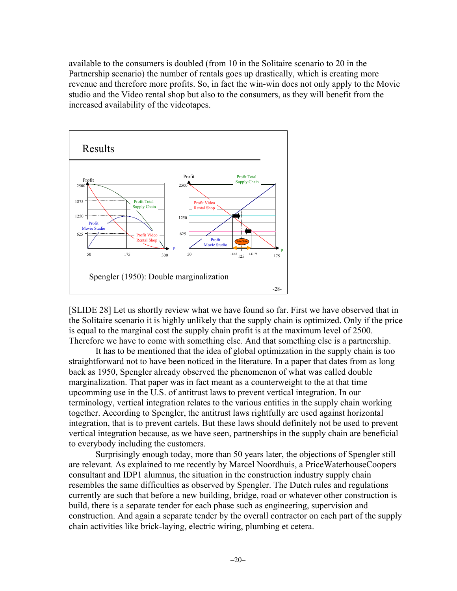available to the consumers is doubled (from 10 in the Solitaire scenario to 20 in the Partnership scenario) the number of rentals goes up drastically, which is creating more revenue and therefore more profits. So, in fact the win-win does not only apply to the Movie studio and the Video rental shop but also to the consumers, as they will benefit from the increased availability of the videotapes.



[SLIDE 28] Let us shortly review what we have found so far. First we have observed that in the Solitaire scenario it is highly unlikely that the supply chain is optimized. Only if the price is equal to the marginal cost the supply chain profit is at the maximum level of 2500. Therefore we have to come with something else. And that something else is a partnership.

It has to be mentioned that the idea of global optimization in the supply chain is too straightforward not to have been noticed in the literature. In a paper that dates from as long back as 1950, Spengler already observed the phenomenon of what was called double marginalization. That paper was in fact meant as a counterweight to the at that time upcomming use in the U.S. of antitrust laws to prevent vertical integration. In our terminology, vertical integration relates to the various entities in the supply chain working together. According to Spengler, the antitrust laws rightfully are used against horizontal integration, that is to prevent cartels. But these laws should definitely not be used to prevent vertical integration because, as we have seen, partnerships in the supply chain are beneficial to everybody including the customers.

Surprisingly enough today, more than 50 years later, the objections of Spengler still are relevant. As explained to me recently by Marcel Noordhuis, a PriceWaterhouseCoopers consultant and IDP1 alumnus, the situation in the construction industry supply chain resembles the same difficulties as observed by Spengler. The Dutch rules and regulations currently are such that before a new building, bridge, road or whatever other construction is build, there is a separate tender for each phase such as engineering, supervision and construction. And again a separate tender by the overall contractor on each part of the supply chain activities like brick-laying, electric wiring, plumbing et cetera.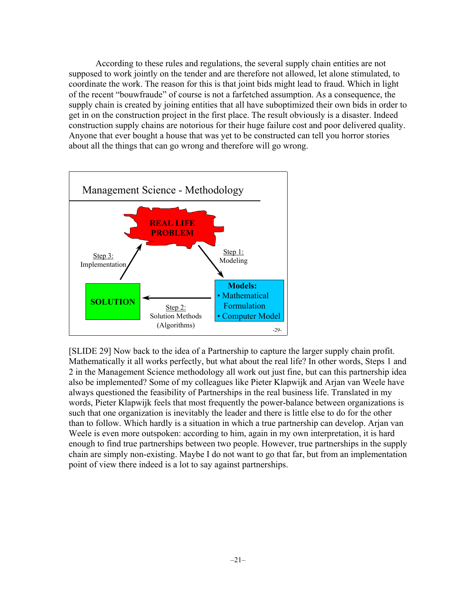According to these rules and regulations, the several supply chain entities are not supposed to work jointly on the tender and are therefore not allowed, let alone stimulated, to coordinate the work. The reason for this is that joint bids might lead to fraud. Which in light of the recent "bouwfraude" of course is not a farfetched assumption. As a consequence, the supply chain is created by joining entities that all have suboptimized their own bids in order to get in on the construction project in the first place. The result obviously is a disaster. Indeed construction supply chains are notorious for their huge failure cost and poor delivered quality. Anyone that ever bought a house that was yet to be constructed can tell you horror stories about all the things that can go wrong and therefore will go wrong.



[SLIDE 29] Now back to the idea of a Partnership to capture the larger supply chain profit. Mathematically it all works perfectly, but what about the real life? In other words, Steps 1 and 2 in the Management Science methodology all work out just fine, but can this partnership idea also be implemented? Some of my colleagues like Pieter Klapwijk and Arjan van Weele have always questioned the feasibility of Partnerships in the real business life. Translated in my words, Pieter Klapwijk feels that most frequently the power-balance between organizations is such that one organization is inevitably the leader and there is little else to do for the other than to follow. Which hardly is a situation in which a true partnership can develop. Arjan van Weele is even more outspoken: according to him, again in my own interpretation, it is hard enough to find true partnerships between two people. However, true partnerships in the supply chain are simply non-existing. Maybe I do not want to go that far, but from an implementation point of view there indeed is a lot to say against partnerships.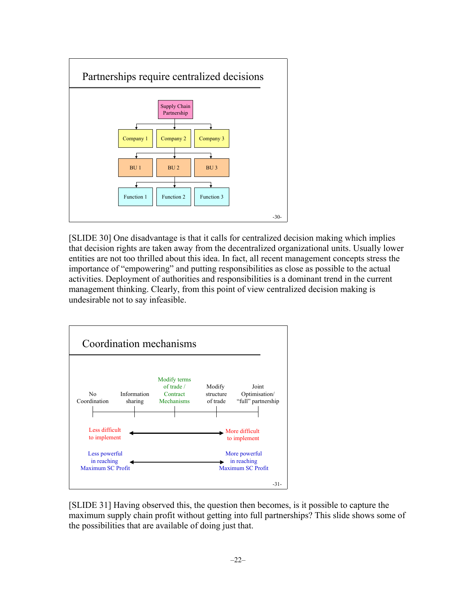

[SLIDE 30] One disadvantage is that it calls for centralized decision making which implies that decision rights are taken away from the decentralized organizational units. Usually lower entities are not too thrilled about this idea. In fact, all recent management concepts stress the importance of "empowering" and putting responsibilities as close as possible to the actual activities. Deployment of authorities and responsibilities is a dominant trend in the current management thinking. Clearly, from this point of view centralized decision making is undesirable not to say infeasible.



[SLIDE 31] Having observed this, the question then becomes, is it possible to capture the maximum supply chain profit without getting into full partnerships? This slide shows some of the possibilities that are available of doing just that.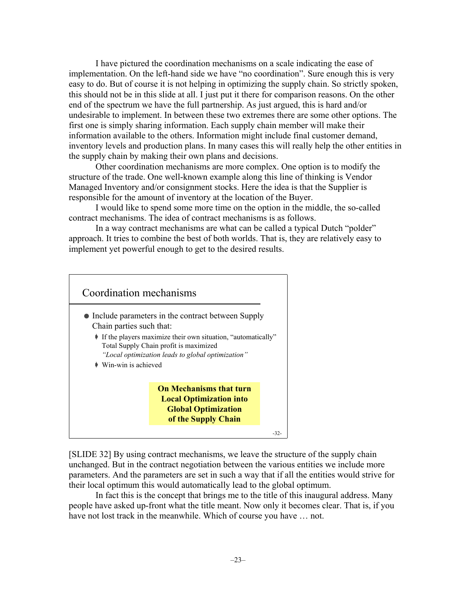I have pictured the coordination mechanisms on a scale indicating the ease of implementation. On the left-hand side we have "no coordination". Sure enough this is very easy to do. But of course it is not helping in optimizing the supply chain. So strictly spoken, this should not be in this slide at all. I just put it there for comparison reasons. On the other end of the spectrum we have the full partnership. As just argued, this is hard and/or undesirable to implement. In between these two extremes there are some other options. The first one is simply sharing information. Each supply chain member will make their information available to the others. Information might include final customer demand, inventory levels and production plans. In many cases this will really help the other entities in the supply chain by making their own plans and decisions.

Other coordination mechanisms are more complex. One option is to modify the structure of the trade. One well-known example along this line of thinking is Vendor Managed Inventory and/or consignment stocks. Here the idea is that the Supplier is responsible for the amount of inventory at the location of the Buyer.

I would like to spend some more time on the option in the middle, the so-called contract mechanisms. The idea of contract mechanisms is as follows.

In a way contract mechanisms are what can be called a typical Dutch "polder" approach. It tries to combine the best of both worlds. That is, they are relatively easy to implement yet powerful enough to get to the desired results.



[SLIDE 32] By using contract mechanisms, we leave the structure of the supply chain unchanged. But in the contract negotiation between the various entities we include more parameters. And the parameters are set in such a way that if all the entities would strive for their local optimum this would automatically lead to the global optimum.

In fact this is the concept that brings me to the title of this inaugural address. Many people have asked up-front what the title meant. Now only it becomes clear. That is, if you have not lost track in the meanwhile. Which of course you have ... not.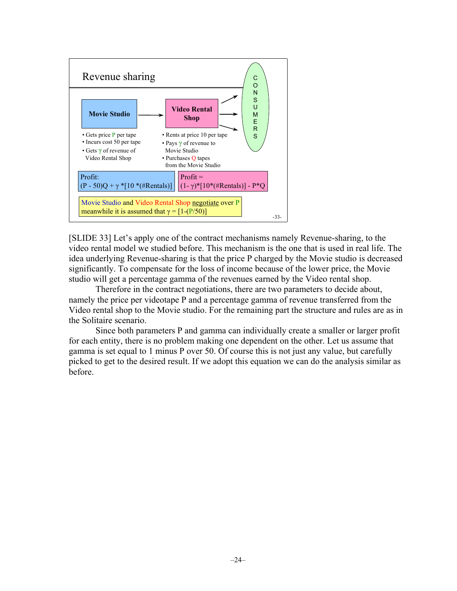

[SLIDE 33] Let's apply one of the contract mechanisms namely Revenue-sharing, to the video rental model we studied before. This mechanism is the one that is used in real life. The idea underlying Revenue-sharing is that the price P charged by the Movie studio is decreased significantly. To compensate for the loss of income because of the lower price, the Movie studio will get a percentage gamma of the revenues earned by the Video rental shop.

Therefore in the contract negotiations, there are two parameters to decide about, namely the price per videotape P and a percentage gamma of revenue transferred from the Video rental shop to the Movie studio. For the remaining part the structure and rules are as in the Solitaire scenario.

Since both parameters P and gamma can individually create a smaller or larger profit for each entity, there is no problem making one dependent on the other. Let us assume that gamma is set equal to 1 minus P over 50. Of course this is not just any value, but carefully picked to get to the desired result. If we adopt this equation we can do the analysis similar as before.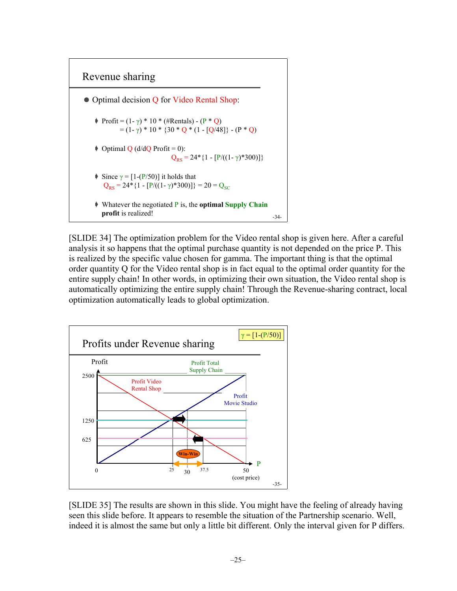

[SLIDE 34] The optimization problem for the Video rental shop is given here. After a careful analysis it so happens that the optimal purchase quantity is not depended on the price P. This is realized by the specific value chosen for gamma. The important thing is that the optimal order quantity Q for the Video rental shop is in fact equal to the optimal order quantity for the entire supply chain! In other words, in optimizing their own situation, the Video rental shop is automatically optimizing the entire supply chain! Through the Revenue-sharing contract, local optimization automatically leads to global optimization.



[SLIDE 35] The results are shown in this slide. You might have the feeling of already having seen this slide before. It appears to resemble the situation of the Partnership scenario. Well, indeed it is almost the same but only a little bit different. Only the interval given for P differs.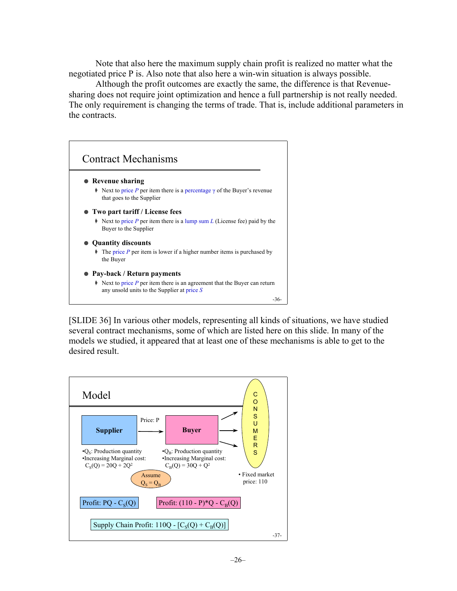Note that also here the maximum supply chain profit is realized no matter what the negotiated price P is. Also note that also here a win-win situation is always possible.

Although the profit outcomes are exactly the same, the difference is that Revenuesharing does not require joint optimization and hence a full partnership is not really needed. The only requirement is changing the terms of trade. That is, include additional parameters in the contracts.



[SLIDE 36] In various other models, representing all kinds of situations, we have studied several contract mechanisms, some of which are listed here on this slide. In many of the models we studied, it appeared that at least one of these mechanisms is able to get to the desired result.

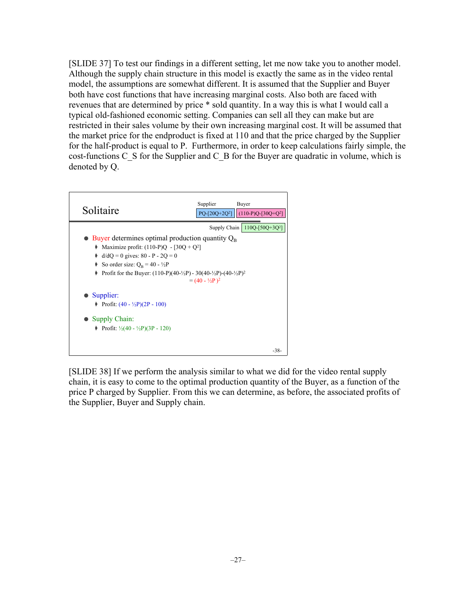[SLIDE 37] To test our findings in a different setting, let me now take you to another model. Although the supply chain structure in this model is exactly the same as in the video rental model, the assumptions are somewhat different. It is assumed that the Supplier and Buyer both have cost functions that have increasing marginal costs. Also both are faced with revenues that are determined by price \* sold quantity. In a way this is what I would call a typical old-fashioned economic setting. Companies can sell all they can make but are restricted in their sales volume by their own increasing marginal cost. It will be assumed that the market price for the endproduct is fixed at 110 and that the price charged by the Supplier for the half-product is equal to P. Furthermore, in order to keep calculations fairly simple, the cost-functions C\_S for the Supplier and C\_B for the Buyer are quadratic in volume, which is denoted by Q.



[SLIDE 38] If we perform the analysis similar to what we did for the video rental supply chain, it is easy to come to the optimal production quantity of the Buyer, as a function of the price P charged by Supplier. From this we can determine, as before, the associated profits of the Supplier, Buyer and Supply chain.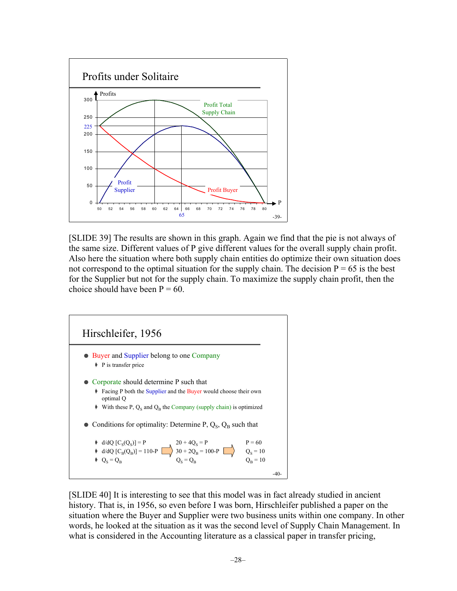

[SLIDE 39] The results are shown in this graph. Again we find that the pie is not always of the same size. Different values of P give different values for the overall supply chain profit. Also here the situation where both supply chain entities do optimize their own situation does not correspond to the optimal situation for the supply chain. The decision  $P = 65$  is the best for the Supplier but not for the supply chain. To maximize the supply chain profit, then the choice should have been  $P = 60$ .



[SLIDE 40] It is interesting to see that this model was in fact already studied in ancient history. That is, in 1956, so even before I was born, Hirschleifer published a paper on the situation where the Buyer and Supplier were two business units within one company. In other words, he looked at the situation as it was the second level of Supply Chain Management. In what is considered in the Accounting literature as a classical paper in transfer pricing,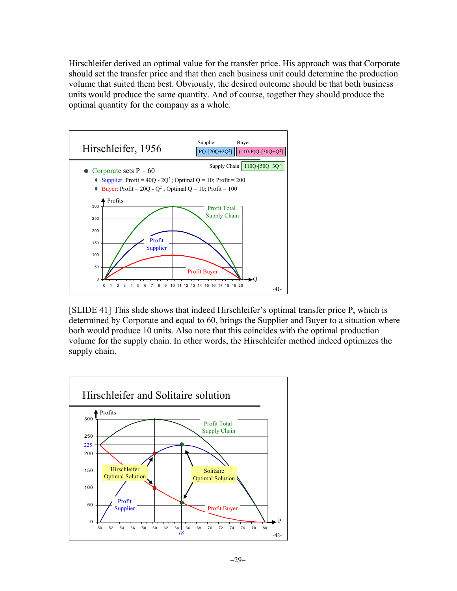Hirschleifer derived an optimal value for the transfer price. His approach was that Corporate should set the transfer price and that then each business unit could determine the production volume that suited them best. Obviously, the desired outcome should be that both business units would produce the same quantity. And of course, together they should produce the optimal quantity for the company as a whole.



[SLIDE 41] This slide shows that indeed Hirschleifer's optimal transfer price P, which is determined by Corporate and equal to 60, brings the Supplier and Buyer to a situation where both would produce 10 units. Also note that this coincides with the optimal production volume for the supply chain. In other words, the Hirschleifer method indeed optimizes the supply chain.

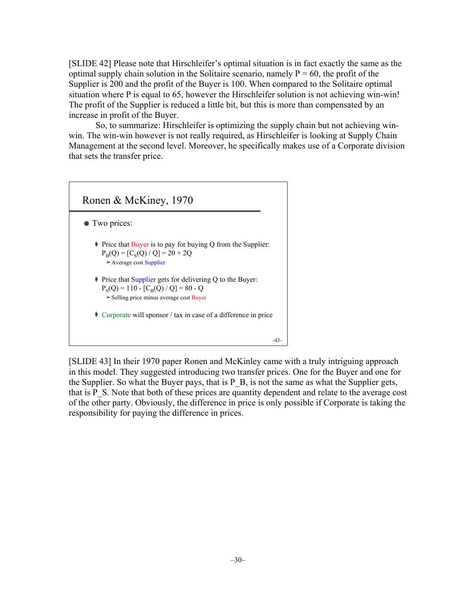[SLIDE 42] Please note that Hirschleifer's optimal situation is in fact exactly the same as the optimal supply chain solution in the Solitaire scenario, namely  $P = 60$ , the profit of the Supplier is 200 and the profit of the Buyer is 100. When compared to the Solitaire optimal situation where P is equal to 65, however the Hirschleifer solution is not achieving win-win! The profit of the Supplier is reduced a little bit, but this is more than compensated by an increase in profit of the Buyer.

So, to summarize: Hirschleifer is optimizing the supply chain but not achieving winwin. The win-win however is not really required, as Hirschleifer is looking at Supply Chain Management at the second level. Moreover, he specifically makes use of a Corporate division that sets the transfer price.



[SLIDE 43] In their 1970 paper Ronen and McKinley came with a truly intriguing approach in this model. They suggested introducing two transfer prices. One for the Buyer and one for the Supplier. So what the Buyer pays, that is P\_B, is not the same as what the Supplier gets, that is P\_S. Note that both of these prices are quantity dependent and relate to the average cost of the other party. Obviously, the difference in price is only possible if Corporate is taking the responsibility for paying the difference in prices.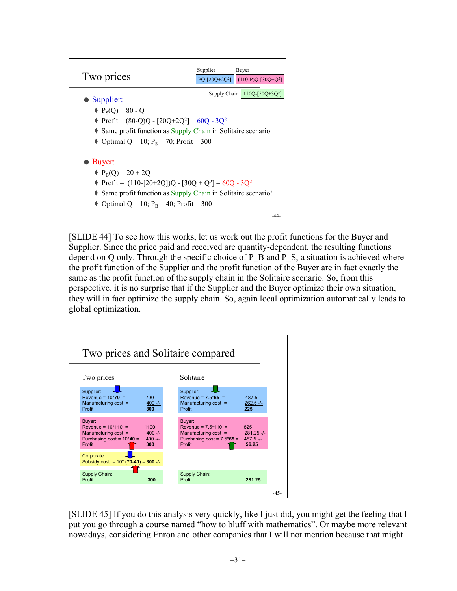

[SLIDE 44] To see how this works, let us work out the profit functions for the Buyer and Supplier. Since the price paid and received are quantity-dependent, the resulting functions depend on Q only. Through the specific choice of P\_B and P\_S, a situation is achieved where the profit function of the Supplier and the profit function of the Buyer are in fact exactly the same as the profit function of the supply chain in the Solitaire scenario. So, from this perspective, it is no surprise that if the Supplier and the Buyer optimize their own situation, they will in fact optimize the supply chain. So, again local optimization automatically leads to global optimization.



[SLIDE 45] If you do this analysis very quickly, like I just did, you might get the feeling that I put you go through a course named "how to bluff with mathematics". Or maybe more relevant nowadays, considering Enron and other companies that I will not mention because that might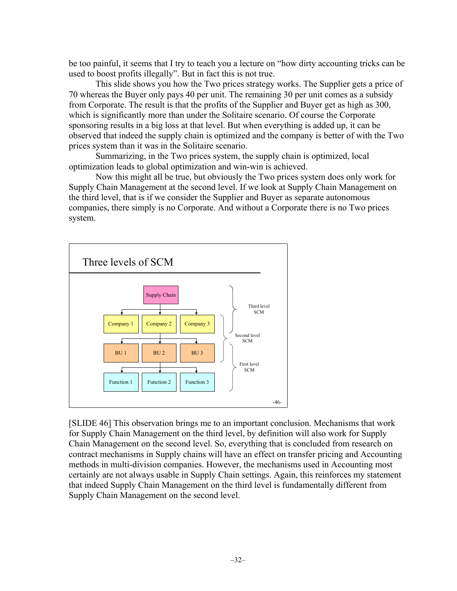be too painful, it seems that I try to teach you a lecture on "how dirty accounting tricks can be used to boost profits illegally". But in fact this is not true.

This slide shows you how the Two prices strategy works. The Supplier gets a price of 70 whereas the Buyer only pays 40 per unit. The remaining 30 per unit comes as a subsidy from Corporate. The result is that the profits of the Supplier and Buyer get as high as 300, which is significantly more than under the Solitaire scenario. Of course the Corporate sponsoring results in a big loss at that level. But when everything is added up, it can be observed that indeed the supply chain is optimized and the company is better of with the Two prices system than it was in the Solitaire scenario.

Summarizing, in the Two prices system, the supply chain is optimized, local optimization leads to global optimization and win-win is achieved.

Now this might all be true, but obviously the Two prices system does only work for Supply Chain Management at the second level. If we look at Supply Chain Management on the third level, that is if we consider the Supplier and Buyer as separate autonomous companies, there simply is no Corporate. And without a Corporate there is no Two prices system.



[SLIDE 46] This observation brings me to an important conclusion. Mechanisms that work for Supply Chain Management on the third level, by definition will also work for Supply Chain Management on the second level. So, everything that is concluded from research on contract mechanisms in Supply chains will have an effect on transfer pricing and Accounting methods in multi-division companies. However, the mechanisms used in Accounting most certainly are not always usable in Supply Chain settings. Again, this reinforces my statement that indeed Supply Chain Management on the third level is fundamentally different from Supply Chain Management on the second level.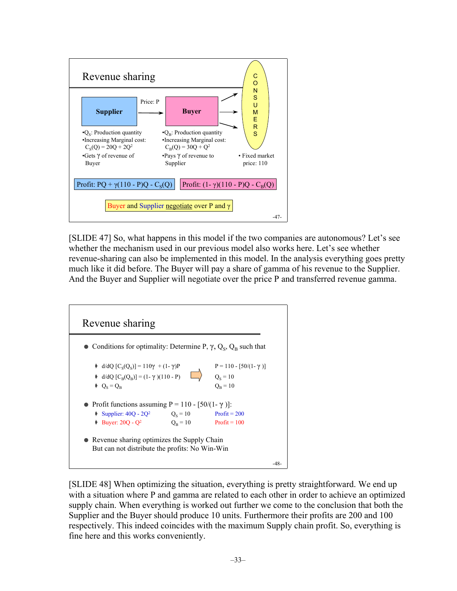

[SLIDE 47] So, what happens in this model if the two companies are autonomous? Let's see whether the mechanism used in our previous model also works here. Let's see whether revenue-sharing can also be implemented in this model. In the analysis everything goes pretty much like it did before. The Buyer will pay a share of gamma of his revenue to the Supplier. And the Buyer and Supplier will negotiate over the price P and transferred revenue gamma.



[SLIDE 48] When optimizing the situation, everything is pretty straightforward. We end up with a situation where P and gamma are related to each other in order to achieve an optimized supply chain. When everything is worked out further we come to the conclusion that both the Supplier and the Buyer should produce 10 units. Furthermore their profits are 200 and 100 respectively. This indeed coincides with the maximum Supply chain profit. So, everything is fine here and this works conveniently.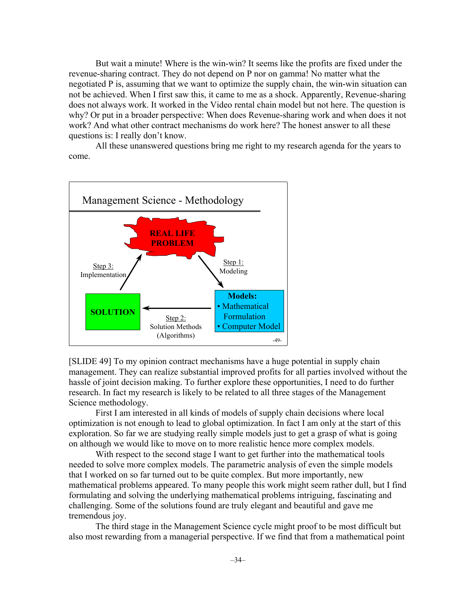But wait a minute! Where is the win-win? It seems like the profits are fixed under the revenue-sharing contract. They do not depend on P nor on gamma! No matter what the negotiated P is, assuming that we want to optimize the supply chain, the win-win situation can not be achieved. When I first saw this, it came to me as a shock. Apparently, Revenue-sharing does not always work. It worked in the Video rental chain model but not here. The question is why? Or put in a broader perspective: When does Revenue-sharing work and when does it not work? And what other contract mechanisms do work here? The honest answer to all these questions is: I really don't know.

All these unanswered questions bring me right to my research agenda for the years to come.



[SLIDE 49] To my opinion contract mechanisms have a huge potential in supply chain management. They can realize substantial improved profits for all parties involved without the hassle of joint decision making. To further explore these opportunities, I need to do further research. In fact my research is likely to be related to all three stages of the Management Science methodology.

First I am interested in all kinds of models of supply chain decisions where local optimization is not enough to lead to global optimization. In fact I am only at the start of this exploration. So far we are studying really simple models just to get a grasp of what is going on although we would like to move on to more realistic hence more complex models.

With respect to the second stage I want to get further into the mathematical tools needed to solve more complex models. The parametric analysis of even the simple models that I worked on so far turned out to be quite complex. But more importantly, new mathematical problems appeared. To many people this work might seem rather dull, but I find formulating and solving the underlying mathematical problems intriguing, fascinating and challenging. Some of the solutions found are truly elegant and beautiful and gave me tremendous joy.

The third stage in the Management Science cycle might proof to be most difficult but also most rewarding from a managerial perspective. If we find that from a mathematical point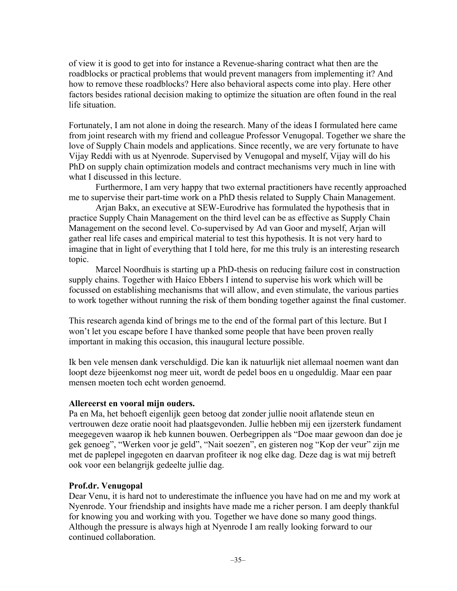of view it is good to get into for instance a Revenue-sharing contract what then are the roadblocks or practical problems that would prevent managers from implementing it? And how to remove these roadblocks? Here also behavioral aspects come into play. Here other factors besides rational decision making to optimize the situation are often found in the real life situation.

Fortunately, I am not alone in doing the research. Many of the ideas I formulated here came from joint research with my friend and colleague Professor Venugopal. Together we share the love of Supply Chain models and applications. Since recently, we are very fortunate to have Vijay Reddi with us at Nyenrode. Supervised by Venugopal and myself, Vijay will do his PhD on supply chain optimization models and contract mechanisms very much in line with what I discussed in this lecture.

Furthermore, I am very happy that two external practitioners have recently approached me to supervise their part-time work on a PhD thesis related to Supply Chain Management.

Arjan Bakx, an executive at SEW-Eurodrive has formulated the hypothesis that in practice Supply Chain Management on the third level can be as effective as Supply Chain Management on the second level. Co-supervised by Ad van Goor and myself, Arjan will gather real life cases and empirical material to test this hypothesis. It is not very hard to imagine that in light of everything that I told here, for me this truly is an interesting research topic.

Marcel Noordhuis is starting up a PhD-thesis on reducing failure cost in construction supply chains. Together with Haico Ebbers I intend to supervise his work which will be focussed on establishing mechanisms that will allow, and even stimulate, the various parties to work together without running the risk of them bonding together against the final customer.

This research agenda kind of brings me to the end of the formal part of this lecture. But I won't let you escape before I have thanked some people that have been proven really important in making this occasion, this inaugural lecture possible.

Ik ben vele mensen dank verschuldigd. Die kan ik natuurlijk niet allemaal noemen want dan loopt deze bijeenkomst nog meer uit, wordt de pedel boos en u ongeduldig. Maar een paar mensen moeten toch echt worden genoemd.

#### **Allereerst en vooral mijn ouders.**

Pa en Ma, het behoeft eigenlijk geen betoog dat zonder jullie nooit aflatende steun en vertrouwen deze oratie nooit had plaatsgevonden. Jullie hebben mij een ijzersterk fundament meegegeven waarop ik heb kunnen bouwen. Oerbegrippen als "Doe maar gewoon dan doe je gek genoeg", "Werken voor je geld", "Nait soezen", en gisteren nog "Kop der veur" zijn me met de paplepel ingegoten en daarvan profiteer ik nog elke dag. Deze dag is wat mij betreft ook voor een belangrijk gedeelte jullie dag.

#### **Prof.dr. Venugopal**

Dear Venu, it is hard not to underestimate the influence you have had on me and my work at Nyenrode. Your friendship and insights have made me a richer person. I am deeply thankful for knowing you and working with you. Together we have done so many good things. Although the pressure is always high at Nyenrode I am really looking forward to our continued collaboration.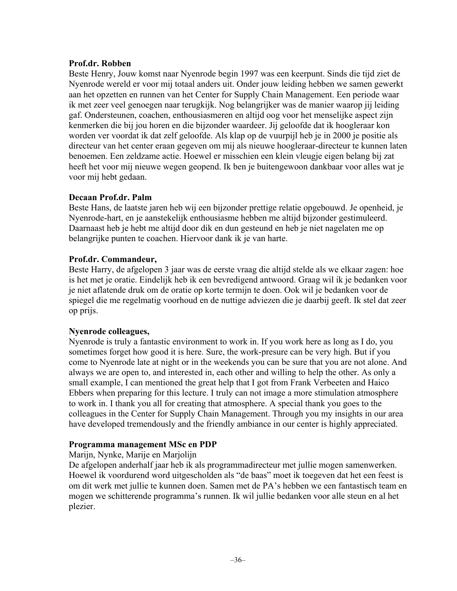### **Prof.dr. Robben**

Beste Henry, Jouw komst naar Nyenrode begin 1997 was een keerpunt. Sinds die tijd ziet de Nyenrode wereld er voor mij totaal anders uit. Onder jouw leiding hebben we samen gewerkt aan het opzetten en runnen van het Center for Supply Chain Management. Een periode waar ik met zeer veel genoegen naar terugkijk. Nog belangrijker was de manier waarop jij leiding gaf. Ondersteunen, coachen, enthousiasmeren en altijd oog voor het menselijke aspect zijn kenmerken die bij jou horen en die bijzonder waardeer. Jij geloofde dat ik hoogleraar kon worden ver voordat ik dat zelf geloofde. Als klap op de vuurpijl heb je in 2000 je positie als directeur van het center eraan gegeven om mij als nieuwe hoogleraar-directeur te kunnen laten benoemen. Een zeldzame actie. Hoewel er misschien een klein vleugje eigen belang bij zat heeft het voor mij nieuwe wegen geopend. Ik ben je buitengewoon dankbaar voor alles wat je voor mij hebt gedaan.

### **Decaan Prof.dr. Palm**

Beste Hans, de laatste jaren heb wij een bijzonder prettige relatie opgebouwd. Je openheid, je Nyenrode-hart, en je aanstekelijk enthousiasme hebben me altijd bijzonder gestimuleerd. Daarnaast heb je hebt me altijd door dik en dun gesteund en heb je niet nagelaten me op belangrijke punten te coachen. Hiervoor dank ik je van harte.

## **Prof.dr. Commandeur,**

Beste Harry, de afgelopen 3 jaar was de eerste vraag die altijd stelde als we elkaar zagen: hoe is het met je oratie. Eindelijk heb ik een bevredigend antwoord. Graag wil ik je bedanken voor je niet aflatende druk om de oratie op korte termijn te doen. Ook wil je bedanken voor de spiegel die me regelmatig voorhoud en de nuttige adviezen die je daarbij geeft. Ik stel dat zeer op prijs.

### **Nyenrode colleagues,**

Nyenrode is truly a fantastic environment to work in. If you work here as long as I do, you sometimes forget how good it is here. Sure, the work-presure can be very high. But if you come to Nyenrode late at night or in the weekends you can be sure that you are not alone. And always we are open to, and interested in, each other and willing to help the other. As only a small example, I can mentioned the great help that I got from Frank Verbeeten and Haico Ebbers when preparing for this lecture. I truly can not image a more stimulation atmosphere to work in. I thank you all for creating that atmosphere. A special thank you goes to the colleagues in the Center for Supply Chain Management. Through you my insights in our area have developed tremendously and the friendly ambiance in our center is highly appreciated.

### **Programma management MSc en PDP**

Marijn, Nynke, Marije en Marjolijn

De afgelopen anderhalf jaar heb ik als programmadirecteur met jullie mogen samenwerken. Hoewel ik voordurend word uitgescholden als "de baas" moet ik toegeven dat het een feest is om dit werk met jullie te kunnen doen. Samen met de PA's hebben we een fantastisch team en mogen we schitterende programma's runnen. Ik wil jullie bedanken voor alle steun en al het plezier.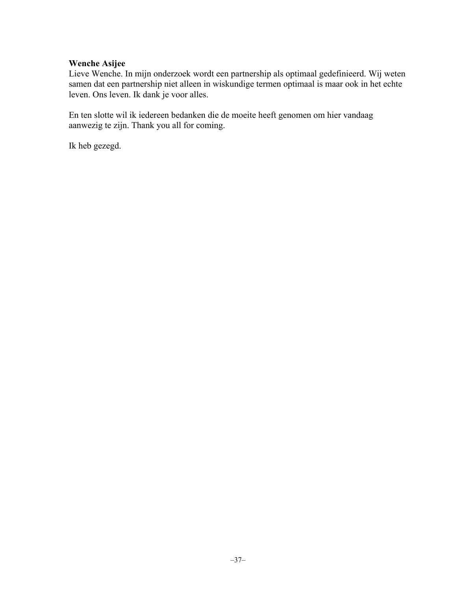#### **Wenche Asijee**

Lieve Wenche. In mijn onderzoek wordt een partnership als optimaal gedefinieerd. Wij weten samen dat een partnership niet alleen in wiskundige termen optimaal is maar ook in het echte leven. Ons leven. Ik dank je voor alles.

En ten slotte wil ik iedereen bedanken die de moeite heeft genomen om hier vandaag aanwezig te zijn. Thank you all for coming.

Ik heb gezegd.